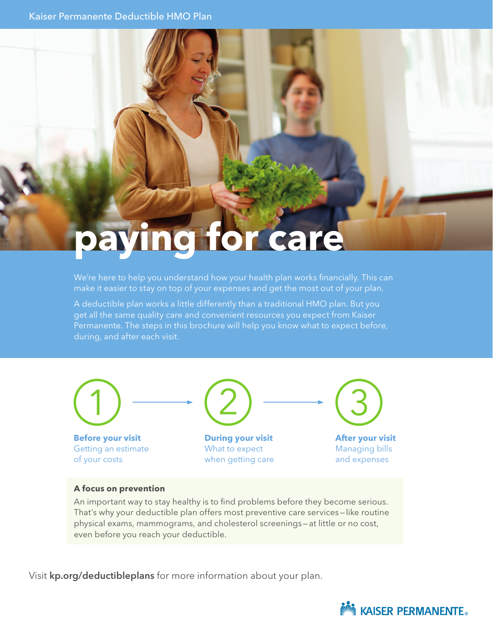# **paying for care**

We're here to help you understand how your health plan works financially. This can make it easier to stay on top of your expenses and get the most out of your plan.

A deductible plan works a little differently than a traditional HMO plan. But you get all the same quality care and convenient resources you expect from Kaiser Permanente. The steps in this brochure will help you know what to expect before, during, and after each visit.

**Before your visit** Getting an estimate of your costs **During your visit** What to expect when getting care **After your visit** Managing bills and expenses

#### **A focus on prevention**

An important way to stay healthy is to find problems before they become serious. That's why your deductible plan offers most preventive care services—like routine physical exams, mammograms, and cholesterol screenings—at little or no cost, even before you reach your deductible.

Visit kp.org/deductibleplans for more information about your plan.

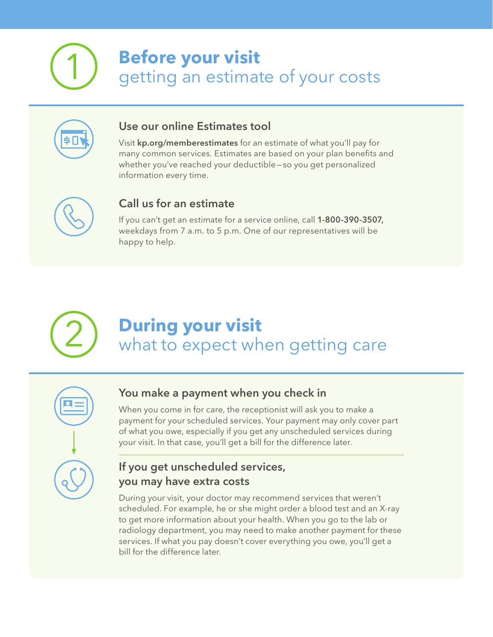## **Before your visit**

getting an estimate of your costs



### Use our online Estimates tool

Visit kp.org/memberestimates for an estimate of what you'll pay for many common services. Estimates are based on your plan benefits and whether you've reached your deductible—so you get personalized information every time.



### Call us for an estimate

If you can't get an estimate for a service online, call 1-800-390-3507, weekdays from 7 a.m. to 5 p.m. One of our representatives will be happy to help.



### **During your visit** what to expect when getting care



### You make a payment when you check in

When you come in for care, the receptionist will ask you to make a payment for your scheduled services. Your payment may only cover part of what you owe, especially if you get any unscheduled services during your visit. In that case, you'll get a bill for the difference later.

### If you get unscheduled services, you may have extra costs

During your visit, your doctor may recommend services that weren't scheduled. For example, he or she might order a blood test and an X-ray to get more information about your health. When you go to the lab or radiology department, you may need to make another payment for these services. If what you pay doesn't cover everything you owe, you'll get a bill for the difference later.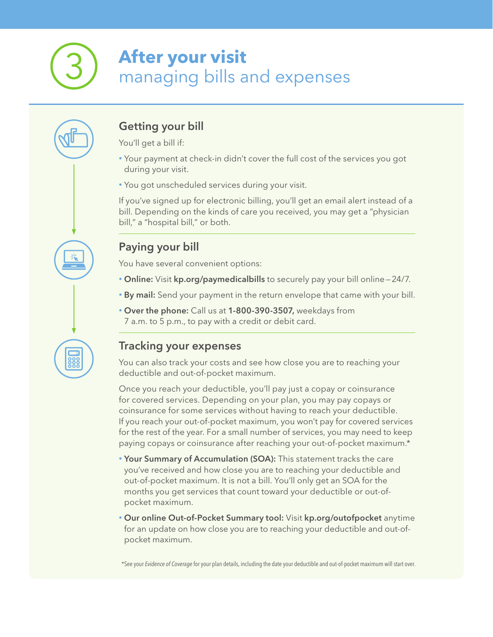### **After your visit** managing bills and expenses

### Getting your bill

You'll get a bill if:

- Your payment at check-in didn't cover the full cost of the services you got during your visit.
- You got unscheduled services during your visit.

If you've signed up for electronic billing, you'll get an email alert instead of a bill. Depending on the kinds of care you received, you may get a "physician bill," a "hospital bill," or both.

### Paying your bill

You have several convenient options:

- Online: Visit kp.org/paymedicalbills to securely pay your bill online—24/7.
- By mail: Send your payment in the return envelope that came with your bill.
- Over the phone: Call us at 1-800-390-3507, weekdays from 7 a.m. to 5 p.m., to pay with a credit or debit card.

### Tracking your expenses

You can also track your costs and see how close you are to reaching your deductible and out-of-pocket maximum.

Once you reach your deductible, you'll pay just a copay or coinsurance for covered services. Depending on your plan, you may pay copays or coinsurance for some services without having to reach your deductible. If you reach your out-of-pocket maximum, you won't pay for covered services for the rest of the year. For a small number of services, you may need to keep paying copays or coinsurance after reaching your out-of-pocket maximum.\*

- Your Summary of Accumulation (SOA): This statement tracks the care you've received and how close you are to reaching your deductible and out-of-pocket maximum. It is not a bill. You'll only get an SOA for the months you get services that count toward your deductible or out-ofpocket maximum.
- Our online Out-of-Pocket Summary tool: Visit kp.org/outofpocket anytime for an update on how close you are to reaching your deductible and out-ofpocket maximum.

\*See your *Evidence of Coverage* for your plan details, including the date your deductible and out-of-pocket maximum will start over.